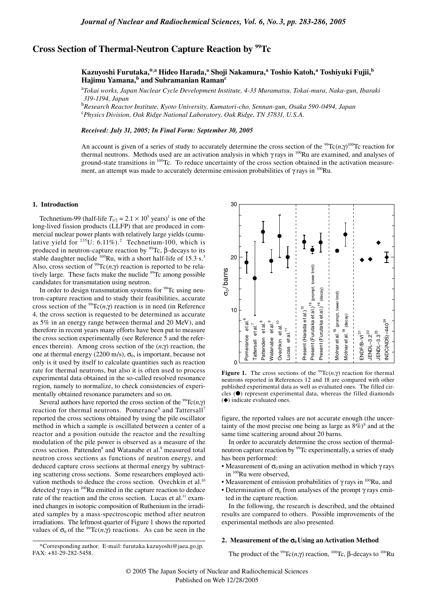# **Cross Section of Thermal-Neutron Capture Reaction by 99Tc**

**Kazuyoshi Furutaka,\*,a Hideo Harada,<sup>a</sup> Shoji Nakamura,<sup>a</sup> Toshio Katoh,<sup>a</sup> Toshiyuki Fujii,<sup>b</sup> Hajimu Yamana,b and Subramanian Ramanc**

<sup>a</sup>*Tokai works, Japan Nuclear Cycle Development Institute, 4-33 Muramatsu, Tokai-mura, Naka-gun, Ibaraki 319-1194, Japan*

b *Research Reactor Institute, Kyoto University, Kumatori-cho, Sennan-gun, Osaka 590-0494, Japan* c *Physics Division, Oak Ridge National Laboratory, Oak Ridge, TN 37831, U.S.A.*

## *Received: July 31, 2005; In Final Form: September 30, 2005*

An account is given of a series of study to accurately determine the cross section of the <sup>99</sup>Tc(*n*, $\gamma$ )<sup>100</sup>Tc reaction for thermal neutrons. Methods used are an activation analysis in which γ rays in  $100$ Ru are examined, and analyses of ground-state transitions in 100Tc. To reduce uncertainty of the cross section obtained in the activation measurement, an attempt was made to accurately determine emission probabilities of  $\gamma$  rays in <sup>100</sup>Ru.

#### **1. Introduction**

Technetium-99 (half-life  $T_{1/2} = 2.1 \times 10^5$  years)<sup>1</sup> is one of the long-lived fission products (LLFP) that are produced in commercial nuclear power plants with relatively large yields (cumulative yield for  $235U$ : 6.11%).<sup>2</sup> Technetium-100, which is produced in neutron-capture reaction by  $\frac{99}{2}$ Tc, β-decays to its stable daughter nuclide  $100$ Ru, with a short half-life of 15.3 s.<sup>3</sup> Also, cross section of <sup>99</sup>Tc(*n*, $\gamma$ ) reaction is reported to be relatively large. These facts make the nuclide  $99Tc$  among possible candidates for transmutation using neutron.

In order to design transmutation systems for <sup>99</sup>Tc using neutron-capture reaction and to study their feasibilities, accurate cross section of the <sup>99</sup>Tc(*n*, $\gamma$ ) reaction is in need (in Reference 4, the cross section is requested to be determined as accurate as 5% in an energy range between thermal and 20 MeV), and therefore in recent years many efforts have been put to measure the cross section experimentally (see Reference 5 and the references therein). Among cross section of the (*n*,γ) reaction, the one at thermal energy (2200 m/s),  $\sigma_0$ , is important, because not only is it used by itself to calculate quantities such as reaction rate for thermal neutrons, but also it is often used to process experimental data obtained in the so-called resolved resonance region, namely to normalize, to check consistencies of experimentally obtained resonance parameters and so on.

Several authors have reported the cross section of the <sup>99</sup>Tc(*n*,γ) reaction for thermal neutrons. Pomerance<sup>6</sup> and Tattersall<sup>7</sup> reported the cross sections obtained by using the pile oscillator method in which a sample is oscillated between a center of a reactor and a position outside the reactor and the resulting modulation of the pile power is observed as a measure of the cross section. Pattenden<sup>8</sup> and Watanabe et al.<sup>9</sup> measured total neutron cross sections as functions of neutron energy, and deduced capture cross sections at thermal energy by subtracting scattering cross sections. Some researchers employed activation methods to deduce the cross section. Ovechkin et al.<sup>10</sup> detected  $\gamma$  rays in  $^{100}$ Ru emitted in the capture reaction to deduce rate of the reaction and the cross section. Lucas et al.<sup>11</sup> examined changes in isotopic composition of Ruthenium in the irradiated samples by a mass-spectroscopic method after neutron irradiations. The leftmost quarter of Figure 1 shows the reported values of  $\sigma_0$  of the <sup>99</sup>Tc(*n*, $\gamma$ ) reactions. As can be seen in the

\*Corresponding author. E-mail: furutaka.kazuyoshi@jaea.go.jp.

FAX: +81-29-282-5458.



**Figure 1.** The cross sections of the <sup>99</sup>Tc(*n*,*γ*) reaction for thermal neutrons reported in References 12 and 18 are compared with other published experimental data as well as evaluated ones. The filled circles (●) represent experimental data, whereas the filled diamonds (◆) indicate evaluated ones.

figure, the reported values are not accurate enough (the uncertainty of the most precise one being as large as  $8\%$ <sup>8</sup> and at the same time scattering around about 20 barns.

In order to accurately determine the cross section of thermalneutron capture reaction by <sup>99</sup>Tc experimentally, a series of study has been performed:

- Measurement of  $\sigma_0$  using an activation method in which  $\gamma$  rays in <sup>100</sup>Ru were observed,
- Measurement of emission probabilities of  $\gamma$  rays in <sup>100</sup>Ru, and
- Determination of  $\sigma_0$  from analyses of the prompt  $\gamma$  rays emitted in the capture reaction.

In the following, the research is described, and the obtained results are compared to others. Possible improvements of the experimental methods are also presented.

## **2. Measurement of the**  $\sigma_0$  **Using an Activation Method**

The product of the <sup>99</sup>Tc(*n*,γ) reaction, <sup>100</sup>Tc,  $\beta$ -decays to <sup>100</sup>Ru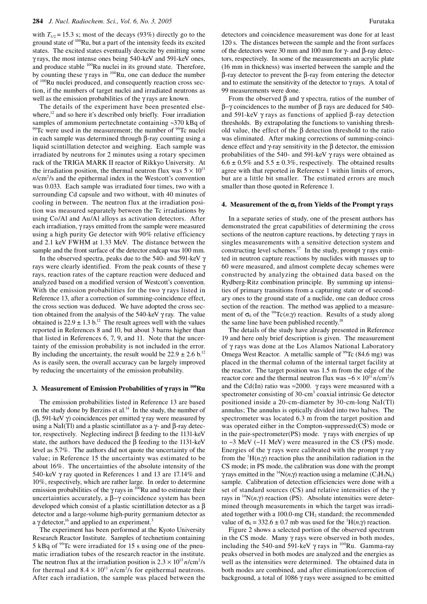with  $T_{1/2} = 15.3$  s; most of the decays (93%) directly go to the ground state of <sup>100</sup>Ru, but a part of the intensity feeds its excited states. The excited states eventually deexcite by emitting some γ rays, the most intense ones being 540-keV and 591-keV ones, and produce stable <sup>100</sup>Ru nuclei in its ground state. Therefore, by counting these  $\gamma$  rays in <sup>100</sup>Ru, one can deduce the number of 100Ru nuclei produced, and consequently reaction cross section, if the numbers of target nuclei and irradiated neutrons as well as the emission probabilities of the γ rays are known.

The details of the experiment have been presented elsewhere, $^{12}$  and so here it's described only briefly. Four irradiation samples of ammonium pertechnetate containing ~370 kBq of  $99$ <sup>99</sup>Tc were used in the measurement; the number of  $99$ Tc nuclei in each sample was determined through β-ray counting using a liquid scintillation detector and weighing. Each sample was irradiated by neutrons for 2 minutes using a rotary specimen rack of the TRIGA MARK II reactor of Rikkyo University. At the irradiation position, the thermal neutron flux was  $5 \times 10^{11}$ *n*/cm<sup>2</sup>/s and the epithermal index in the Westcott's convention was 0.033. Each sample was irradiated four times, two with a surrounding Cd capsule and two without, with 40 minutes of cooling in between. The neutron flux at the irradiation position was measured separately between the Tc irradiations by using Co/Al and Au/Al alloys as activation detectors. After each irradiation, γ rays emitted from the sample were measured using a high purity Ge detector with 90% relative efficiency and 2.1 keV FWHM at 1.33 MeV. The distance between the sample and the front surface of the detector endcap was 100 mm.

In the observed spectra, peaks due to the 540- and 591-keV γ rays were clearly identified. From the peak counts of these γ rays, reaction rates of the capture reaction were deduced and analyzed based on a modified version of Westcott's convention. With the emission probabilities for the two  $\gamma$  rays listed in Reference 13, after a correction of summing-coincidence effect, the cross section was deduced. We have adopted the cross section obtained from the analysis of the 540-keV  $\gamma$  ray. The value obtained is  $22.9 \pm 1.3$  b.<sup>12</sup> The result agrees well with the values reported in References 8 and 10, but about 3 barns higher than that listed in References 6, 7, 9, and 11. Note that the uncertainty of the emission probability is not included in the error. By including the uncertainty, the result would be  $22.9 \pm 2.6$  b.<sup>12</sup> As is easily seen, the overall accuracy can be largely improved by reducing the uncertainty of the emission probability.

## **3. Measurement of Emission Probabilities of** γ **rays in 100Ru**

The emission probabilities listed in Reference 13 are based on the study done by Berzins et al.<sup>14</sup> In the study, the number of (β, 591-keV γ) coincidences per emitted γ ray were measured by using a NaI(Tl) and a plastic scintillator as a  $γ$ - and β-ray detector, respectively. Neglecting indirect β feeding to the 1131-keV state, the authors have deduced the  $\beta$  feeding to the 1131-keV level as 5.7%. The authors did not quote the uncertainty of the value; in Reference 15 the uncertainty was estimated to be about 16%. The uncertainties of the absolute intensity of the 540-keV γ ray quoted in References 1 and 13 are 17.14% and 10%, respectively, which are rather large. In order to determine emission probabilities of the  $\gamma$  rays in <sup>100</sup>Ru and to estimate their uncertainties accurately, a β−γ coincidence system has been developed which consist of a plastic scintillation detector as a β detector and a large-volume high-purity germanium detector as a γ detector,<sup>16</sup> and applied to an experiment.<sup>3</sup>

The experiment has been performed at the Kyoto University Research Reactor Institute. Samples of technetium containing 5 kBq of <sup>99</sup>Tc were irradiated for 15 s using one of the pneumatic irradiation tubes of the research reactor in the institute. The neutron flux at the irradiation position is  $2.3 \times 10^{13}$  *n*/cm<sup>2</sup>/s for thermal and  $8.4 \times 10^{11}$  *n/cm<sup>2</sup>/s* for epithermal neutrons. After each irradiation, the sample was placed between the

detectors and coincidence measurement was done for at least 120 s. The distances between the sample and the front surfaces of the detectors were 30 mm and 100 mm for γ- and β-ray detectors, respectively. In some of the measurements an acrylic plate (16 mm in thickness) was inserted between the sample and the β-ray detector to prevent the β-ray from entering the detector and to estimate the sensitivity of the detector to  $\gamma$  rays. A total of 99 measurements were done.

From the observed  $\beta$  and  $\gamma$  spectra, ratios of the number of β−γ coincidences to the number of β rays are deduced for 540 and 591-keV γ rays as functions of applied β-ray detection thresholds. By extrapolating the functions to vanishing threshold value, the effect of the β detection threshold to the ratio was eliminated. After making corrections of summing-coincidence effect and γ-ray sensitivity in the β detector, the emission probabilities of the 540- and 591-keV γ rays were obtained as  $6.6 \pm 0.5\%$  and  $5.5 \pm 0.3\%$ , respectively. The obtained results agree with that reported in Reference 1 within limits of errors, but are a little bit smaller. The estimated errors are much smaller than those quoted in Reference 1.

#### **4. Measurement of the**  $\sigma_0$  **from Yields of the Prompt γ rays**

In a separate series of study, one of the present authors has demonstrated the great capabilities of determining the cross sections of the neutron capture reactions, by detecting  $\gamma$  rays in singles measurements with a sensitive detection system and constructing level schemes.<sup>17</sup> In the study, prompt  $\gamma$  rays emitted in neutron capture reactions by nuclides with masses up to 60 were measured, and almost complete decay schemes were constructed by analyzing the obtained data based on the Rydberg-Ritz combination principle. By summing up intensities of primary transitions from a capturing state or of secondary ones to the ground state of a nuclide, one can deduce cross section of the reaction. The method was applied to a measurement of  $\sigma_0$  of the <sup>99</sup>Tc(*n*, $\gamma$ ) reaction. Results of a study along the same line have been published recently.<sup>18</sup>

The details of the study have already presented in Reference 19 and here only brief description is given. The measurement of γ rays was done at the Los Alamos National Laboratory Omega West Reactor. A metallic sample of  $99$ Tc (84.6 mg) was placed in the thermal column of the internal target facility at the reactor. The target position was 1.5 m from the edge of the reactor core and the thermal neutron flux was  $\sim 6 \times 10^{11}$  *n*/cm<sup>2</sup>/s and the Cd(In) ratio was  $\approx 2000$ . γ rays were measured with a spectrometer consisting of 30-cm<sup>3</sup> coaxial intrinsic Ge detector positioned inside a 20-cm-diameter by 30-cm-long NaI(Tl) annulus; The annulus is optically divided into two halves. The spectrometer was located 6.3 m from the target position and was operated either in the Compton-suppressed(CS) mode or in the pair-spectrometer(PS) mode.  $\gamma$  rays with energies of up to ~3 MeV (~11 MeV) were measured in the CS (PS) mode. Energies of the  $\gamma$  rays were calibrated with the prompt  $\gamma$  ray from the  ${}^{1}H(n,\gamma)$  reaction plus the annihilation radiation in the CS mode; in PS mode, the calibration was done with the prompt γ rays emitted in the <sup>14</sup>N(*n*,γ) reaction using a melamine (C<sub>3</sub>H<sub>3</sub>N<sub>6</sub>) sample. Calibration of detection efficiencies were done with a set of standard sources (CS) and relative intensities of the γ rays in 14N(*n*,γ) reaction (PS). Absolute intensities were determined through measurements in which the target was irradiated together with a 100.0-mg  $CH<sub>2</sub>$  standard; the recommended value of  $\sigma_0 = 332.6 \pm 0.7$  mb was used for the <sup>1</sup>H(*n*, $\gamma$ ) reaction.

Figure 2 shows a selected portion of the observed spectrum in the CS mode. Many γ rays were observed in both modes, including the 540-and 591-keV  $\gamma$  rays in <sup>100</sup>Ru. Gamma-ray peaks observed in both modes are analyzed and the energies as well as the intensities were determined. The obtained data in both modes are combined, and after elimination/correction of background, a total of 1086  $\gamma$  rays were assigned to be emitted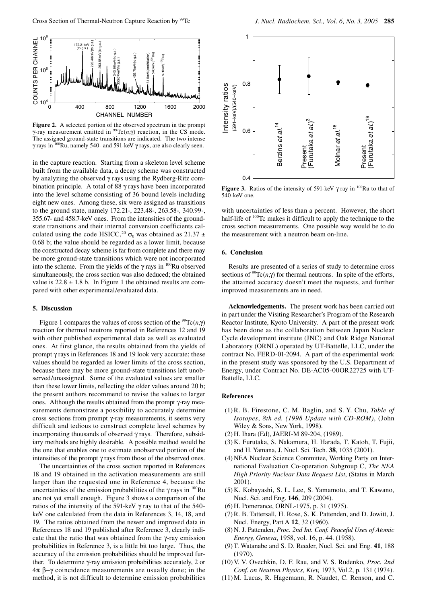

**Figure 2.** A selected portion of the observed spectrum in the prompt γ-ray measurement emitted in 99Tc(*n*,γ) reaction, in the CS mode. The assigned ground-state transitions are indicated. The two intense γ rays in 100Ru, namely 540- and 591-keV γ rays, are also clearly seen.

in the capture reaction. Starting from a skeleton level scheme built from the available data, a decay scheme was constructed by analyzing the observed γ rays using the Rydberg-Ritz combination principle. A total of 88 γ rays have been incorporated into the level scheme consisting of 36 bound levels including eight new ones. Among these, six were assigned as transitions to the ground state, namely 172.21-, 223.48-, 263.58-, 340.99-, 355.67- and 458.7-keV ones. From the intensities of the groundstate transitions and their internal conversion coefficients calculated using the code HSICC,<sup>20</sup>  $\sigma_0$  was obtained as 21.37  $\pm$ 0.68 b; the value should be regarded as a lower limit, because the constructed decay scheme is far from complete and there may be more ground-state transitions which were not incorporated into the scheme. From the yields of the  $\gamma$  rays in <sup>100</sup>Ru observed simultaneously, the cross section was also deduced; the obtained value is  $22.8 \pm 1.8$  b. In Figure 1 the obtained results are compared with other experimental/evaluated data.

## **5. Discussion**

Figure 1 compares the values of cross section of the <sup>99</sup>Tc( $n, \gamma$ ) reaction for thermal neutrons reported in References 12 and 19 with other published experimental data as well as evaluated ones. At first glance, the results obtained from the yields of prompt γ rays in References 18 and 19 look very accurate; these values should be regarded as lower limits of the cross section, because there may be more ground-state transitions left unobserved/unassigned. Some of the evaluated values are smaller than these lower limits, reflecting the older values around 20 b; the present authors recommend to revise the values to larger ones. Although the results obtained from the prompt γ-ray measurements demonstrate a possibility to accurately determine cross sections from prompt γ-ray measurements, it seems very difficult and tedious to construct complete level schemes by incorporating thousands of observed γ rays. Therefore, subsidiary methods are highly desirable. A possible method would be the one that enables one to estimate unobserved portion of the intensities of the prompt γ rays from those of the observed ones.

The uncertainties of the cross section reported in References 18 and 19 obtained in the activation measurements are still larger than the requested one in Reference 4, because the uncertainties of the emission probabilities of the  $\gamma$  rays in  $^{100}$ Ru are not yet small enough. Figure 3 shows a comparison of the ratios of the intensity of the 591-keV γ ray to that of the 540 keV one calculated from the data in References 3, 14, 18, and 19. The ratios obtained from the newer and improved data in References 18 and 19 published after Reference 3, clearly indicate that the ratio that was obtained from the γ-ray emission probabilities in Reference 3, is a little bit too large. Thus, the accuracy of the emission probabilities should be improved further. To determine γ-ray emission probabilities accurately, 2 or 4π β−γ coincidence measurements are usually done; in the method, it is not difficult to determine emission probabilities



**Figure 3.** Ratios of the intensity of 591-keV  $\gamma$  ray in <sup>100</sup>Ru to that of 540-keV one.

with uncertainties of less than a percent. However, the short half-life of <sup>100</sup>Tc makes it difficult to apply the technique to the cross section measurements. One possible way would be to do the measurement with a neutron beam on-line.

#### **6. Conclusion**

Results are presented of a series of study to determine cross sections of <sup>99</sup>Tc( $n, \gamma$ ) for thermal neutrons. In spite of the efforts, the attained accuracy doesn't meet the requests, and further improved measurements are in need.

**Acknowledgements.** The present work has been carried out in part under the Visiting Researcher's Program of the Research Reactor Institute, Kyoto University. A part of the present work has been done as the collaboration between Japan Nuclear Cycle development institute (JNC) and Oak Ridge National Laboratory (ORNL) operated by UT-Battelle, LLC, under the contract No. FERD-01-2094. A part of the experimental work in the present study was sponsored by the U.S. Department of Energy, under Contract No. DE-AC05-00OR22725 with UT-Battelle, LLC.

## **References**

- (1) R. B. Firestone, C. M. Baglin, and S. Y. Chu, *Table of Isotopes*, *8th ed. (1998 Update with CD-ROM)*, (John Wiley & Sons, New York, 1998).
- (2) H. Ihara (Ed), JAERI-M 89-204, (1989).
- (3) K. Furutaka, S. Nakamura, H. Harada, T. Katoh, T. Fujii, and H. Yamana, J. Nucl. Sci. Tech. **38**, 1035 (2001).
- (4) NEA Nuclear Science Committee, Working Party on International Evaluation Co-operation Subgroup C, *The NEA High Priority Nuclear Data Request List*, (Status in March 2001).
- (5) K. Kobayashi, S. L. Lee, S. Yamamoto, and T. Kawano, Nucl. Sci. and Eng. **146**, 209 (2004).
- (6) H. Pomerance, ORNL-1975, p. 31 (1975).
- (7) R. B. Tattersall, H. Rose, S. K. Pattenden, and D. Jowitt, J. Nucl. Energy, Part A **12**, 32 (1960).
- (8) N. J. Pattenden, *Proc. 2nd Int. Conf. Peaceful Uses of Atomic Energy, Geneva*, 1958, vol. 16, p. 44. (1958).
- (9) T. Watanabe and S. D. Reeder, Nucl. Sci. and Eng. **41**, 188 (1970).
- (10) V. V. Ovechkin, D. F. Rau, and V. S. Rudenko, *Proc. 2nd Conf. on Neutron Physics, Kiev,* 1973, Vol.2, p. 131 (1974).
- (11) M. Lucas, R. Hagemann, R. Naudet, C. Renson, and C.